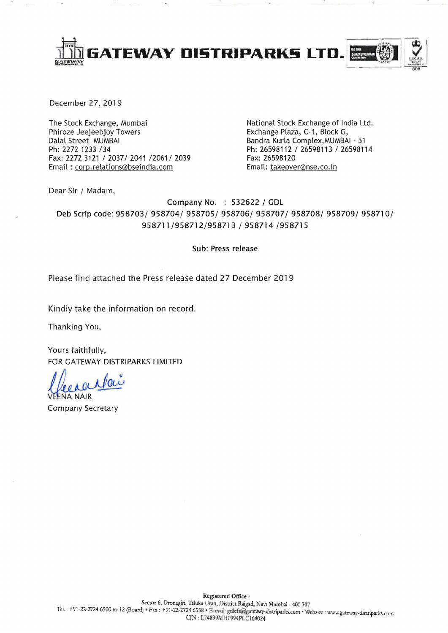

December 27, 2019

The Stock Exchange, Mumbai Phiroze Jeejeebjoy Towers Dalal Street MUMBAI Ph: 2272 1233 /34 Fax: 2272 3121 / 2037/ 2041 / 2061 / 2039 Email: corp.relations@bseindia.com

National Stock Exchange of India Ltd. Exchange Plaza, C-1, Block G, Bandra Kurla Complex, MUMBAI - 51 Ph: 26598112 / 26598113 / 26598114 Fax: 26598120 Email: takeover@nse.co.in

Dear Sir / Madam,

Company No. : 532622 / GDL Deb Scrip code: 958703/ 958704/ 958705/ 958706/ 958707/ 958708/ 958709/ 958710/ 958711/958712/958713 / 958714 /958715

## Sub: Press release

Please find attached the Press release dated 27 December 2019

Kindly take the information on record.

Thanking You,

Yours faithfully,

FOR GATEWAY DISTRIPARKS LIMITED<br>A *Lee à CUMOL*<br>VEENA NAIR

Company Secretary